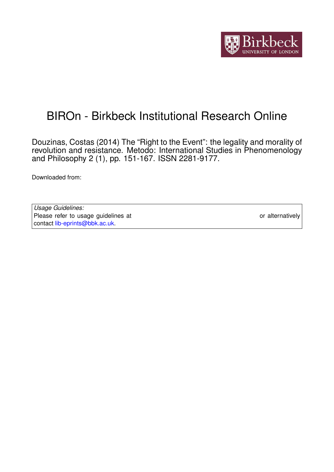

# BIROn - Birkbeck Institutional Research Online

Douzinas, Costas (2014) The "Right to the Event": the legality and morality of revolution and resistance. Metodo: International Studies in Phenomenology and Philosophy 2 (1), pp. 151-167. ISSN 2281-9177.

Downloaded from: <https://eprints.bbk.ac.uk/id/eprint/9653/>

*Usage Guidelines:* Please refer to usage guidelines at <https://eprints.bbk.ac.uk/policies.html> or alternatively contact [lib-eprints@bbk.ac.uk.](mailto:lib-eprints@bbk.ac.uk)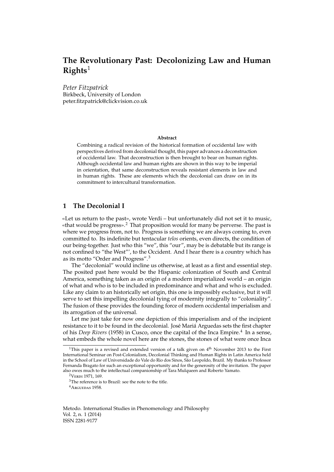## **The Revolutionary Past: Decolonizing Law and Human Rights**[1](#page-1-0)

*Peter Fitzpatrick* Birkbeck, University of London peter.fitzpatrick@clickvision.co.uk

#### **Abstract**

Combining a radical revision of the historical formation of occidental law with perspectives derived from decolonial thought, this paper advances a deconstruction of occidental law. That deconstruction is then brought to bear on human rights. Although occidental law and human rights are shown in this way to be imperial in orientation, that same deconstruction reveals resistant elements in law and in human rights. These are elements which the decolonial can draw on in its commitment to intercultural transformation.

### **1 The Decolonial I**

«Let us return to the past», wrote Verdi – but unfortunately did not set it to music, «that would be progress».<sup>[2](#page-1-1)</sup> That proposition would for many be perverse. The past is where we progress from, not to. Progress is something we are always coming to, even committed to. Its indefinite but tentacular *telos* orients, even directs, the condition of our being-together. Just who this "we", this "our", may be is debatable but its range is not confined to "the West"', to the Occident. And I hear there is a country which has as its motto "Order and Progress".[3](#page-1-2)

The "decolonial" would incline us otherwise, at least as a first and essential step. The posited past here would be the Hispanic colonization of South and Central America, something taken as an origin of a modern imperialized world – an origin of what and who is to be included in predominance and what and who is excluded. Like any claim to an historically set origin, this one is impossibly exclusive, but it will serve to set this impelling decolonial tying of modernity integrally to "coloniality". The fusion of these provides the founding force of modern occidental imperialism and its arrogation of the universal.

Let me just take for now one depiction of this imperialism and of the incipient resistance to it to be found in the decolonial. José Mariá Arguedas sets the first chapter of his *Deep Rivers* (1958) in Cusco, once the capital of the Inca Empire.<sup>[4](#page-1-3)</sup> In a sense, what embeds the whole novel here are the stones, the stones of what were once Inca

<span id="page-1-1"></span><sup>2</sup>VERDI [1971,](#page-17-0) 169.

<span id="page-1-3"></span><sup>4</sup>A[rguedas](#page-15-0) [1958.](#page-15-0)

<span id="page-1-0"></span><sup>&</sup>lt;sup>1</sup>This paper is a revised and extended version of a talk given on  $4<sup>th</sup>$  November 2013 to the First International Seminar on Post-Colonialism, Decolonial Thinking and Human Rights in Latin America held in the School of Law of Universidade do Vale do Rio dos Sinos, São Leopoldo, Brazil. My thanks to Professor Fernanda Bragato for such an exceptional opportunity and for the generosity of the invitation. The paper also owes much to the intellectual companionship of Tara Mulqueen and Roberto Yamato.

<span id="page-1-2"></span><sup>3</sup>The reference is to Brazil: see the note to the title.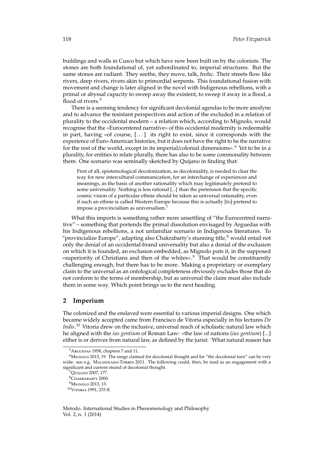buildings and walls in Cusco but which have now been built on by the colonists. The stones are both foundational of, yet subordinated to, imperial structures. But the same stones are radiant. They seethe, they move, talk, frolic. Their streets flow like rivers, deep rivers, rivers akin to primordial serpents. This foundational fusion with movement and change is later aligned in the novel with Indigenous rebellions, with a primal or abyssal capacity to sweep away the existent, to sweep it away in a flood, a flood of rivers.<sup>[5](#page-2-0)</sup>

There is a seeming tendency for significant decolonial agendas to be more anodyne and to advance the resistant perspectives and action of the excluded in a relation of plurality to the occidental modern – a relation which, according to Mignolo, would recognise that the «Eurocentered narrative» of this occidental modernity is redeemable in part, having «of course, [. . . ] its right to exist, since it corresponds with the experience of Euro-American histories, but it does not have the right to be the narrative for the rest of the world, except in its imperial/colonial dimensions».<sup>[6](#page-2-1)</sup> Yet to be in a plurality, for entities to relate plurally, there has also to be some commonality between them. One scenario was seminally sketched by Quijano in finding that:

First of all, epistemological decolonization, as decoloniality, is needed to clear the way for new intercultural communication, for an interchange of experiences and meanings, as the basis of another rationality which may legitimately pretend to some universality. Nothing is less rational [...] than the pretension that the specific cosmic vision of a particular ethnie should be taken as universal rationality, even if such an ethnie is called Western Europe because this is actually [to] pretend to impose a provincialism as universalism.<sup>[7](#page-2-2)</sup>

What this imports is something rather more unsettling of "the Eurocentred narrative" – something that portends the primal dissolution envisaged by Arguedas with his Indigenous rebellions, a not unfamiliar scenario in Indigenous literatures. To "provincialize Europe", adapting also Chakrabarty's stunning title, $^8$  $^8$  would entail not only the denial of an occidental-brand universality but also a denial of the exclusion on which it is founded, an exclusion embedded, as Mignolo puts it, in the supposed «superiority of Christians and then of the whites».[9](#page-2-4) That would be constituently challenging enough, but there has to be more. Making a proprietary or exemplary claim to the universal as an ontological completeness obviously excludes those that do not conform to the terms of membership, but as universal the claim must also include them in some way. Which point brings us to the next heading.

#### **2 Imperium**

The colonized and the enslaved were essential to various imperial designs. One which became widely accepted came from Francisco de Vitoria especially in his lectures *De Indis*. [10](#page-2-5) Vitoria drew on the inclusive, universal reach of scholastic natural law which he aligned with the *ius gentium* of Roman Law: «the law of nations (*ius gentium*) [...] either is or derives from natural law, as defined by the jurist: 'What natural reason has

<span id="page-2-1"></span><span id="page-2-0"></span> $5A$ RGUEDAS [1958,](#page-15-0) chapters 7 and 11.

<sup>&</sup>lt;sup>6</sup>MIGNOLO [2013,](#page-17-1) 19. The range claimed for decolonial thought and for "the decolonial turn" can be very wide: see e.g. MALDONADO-TORRES [2011.](#page-17-2) The following could, then, be read as an engagement with a significant and current strand of decolonial thought.

<span id="page-2-2"></span><sup>7</sup>Q[uijano](#page-17-3) [2007,](#page-17-3) 177.

<span id="page-2-3"></span><sup>8</sup>C[hakrabarty](#page-15-1) [2000.](#page-15-1)

<span id="page-2-4"></span><sup>&</sup>lt;sup>9</sup>MIGNOLO [2013,](#page-17-1) 13.

<span id="page-2-5"></span><sup>10</sup>V[itoria](#page-17-4) [1991,](#page-17-4) 233 ff.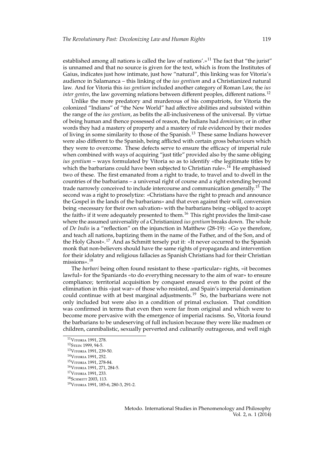established among all nations is called the law of nations'.»<sup>[11](#page-3-0)</sup> The fact that "the jurist" is unnamed and that no source is given for the text, which is from the Institutes of Gaius, indicates just how intimate, just how "natural", this linking was for Vitoria's audience in Salamanca – this linking of the *ius gentium* and a Christianized natural law. And for Vitoria this *ius gentium* included another category of Roman Law, the *ius inter gentes*, the law governing relations between different peoples, different nations.<sup>[12](#page-3-1)</sup>

Unlike the more predatory and murderous of his compatriots, for Vitoria the colonized "Indians" of "the New World" had affective abilities and subsisted within the range of the *ius gentium*, as befits the all-inclusiveness of the universal. By virtue of being human and thence possessed of reason, the Indians had *dominium*; or in other words they had a mastery of property and a mastery of rule evidenced by their modes of living in some similarity to those of the Spanish.[13](#page-3-2) These same Indians however were also different to the Spanish, being afflicted with certain gross behaviours which they were to overcome. These defects serve to ensure the efficacy of imperial rule when combined with ways of acquiring "just title" provided also by the same obliging *ius gentium* – ways formulated by Vitoria so as to identify «the legitimate titles by which the barbarians could have been subjected to Christian rule».<sup>[14](#page-3-3)</sup> He emphasised two of these. The first emanated from a right to trade, to travel and to dwell in the countries of the barbarians – a universal right of course and a right extending beyond trade narrowly conceived to include intercourse and communication generally.<sup>[15](#page-3-4)</sup> The second was a right to proselytize: «Christians have the right to preach and announce the Gospel in the lands of the barbarians» and that even against their will, conversion being «necessary for their own salvation» with the barbarians being «obliged to accept the faith» if it were adequately presented to them.<sup>[16](#page-3-5)</sup> This right provides the limit-case where the assumed universality of a Christianized *ius gentium* breaks down. The whole of *De Indis* is a "reflection" on the injunction in Matthew (28-19): «Go ye therefore, and teach all nations, baptizing them in the name of the Father, and of the Son, and of the Holy Ghost».[17](#page-3-6) And as Schmitt tersely put it: «It never occurred to the Spanish monk that non-believers should have the same rights of propaganda and intervention for their idolatry and religious fallacies as Spanish Christians had for their Christian missions».[18](#page-3-7)

The *barbari* being often found resistant to these «particular» rights, «it becomes lawful» for the Spaniards «to do everything necessary to the aim of war» to ensure compliance; territorial acquisition by conquest ensued even to the point of the elimination in this «just war» of those who resisted, and Spain's imperial domination could continue with at best marginal adjustments.<sup>[19](#page-3-8)</sup> So, the barbarians were not only included but were also in a condition of primal exclusion. That condition was confirmed in terms that even then were far from original and which were to become more pervasive with the emergence of imperial racisms. So, Vitoria found the barbarians to be undeserving of full inclusion because they were like madmen or children, cannibalistic, sexually perverted and culinarily outrageous, and well nigh

<span id="page-3-0"></span><sup>11</sup>V[itoria](#page-17-4) [1991,](#page-17-4) 278.

<span id="page-3-1"></span><sup>12</sup>S[tein](#page-17-5) [1999,](#page-17-5) 94-5.

<span id="page-3-2"></span><sup>13</sup>V[itoria](#page-17-4) [1991,](#page-17-4) 239-50.

<span id="page-3-3"></span><sup>14</sup>V[itoria](#page-17-4) [1991,](#page-17-4) 252.

<span id="page-3-4"></span><sup>15</sup>V[itoria](#page-17-4) [1991,](#page-17-4) 278-84.

<span id="page-3-5"></span><sup>16</sup>V[itoria](#page-17-4) [1991,](#page-17-4) 271, 284-5.

<span id="page-3-6"></span><sup>&</sup>lt;sup>17</sup>VITORIA [1991,](#page-17-4) 233.

<span id="page-3-7"></span><sup>&</sup>lt;sup>18</sup> SCHMITT [2003,](#page-17-6) 113.

<span id="page-3-8"></span><sup>19</sup>V[itoria](#page-17-4) [1991,](#page-17-4) 185-6, 280-3, 291-2.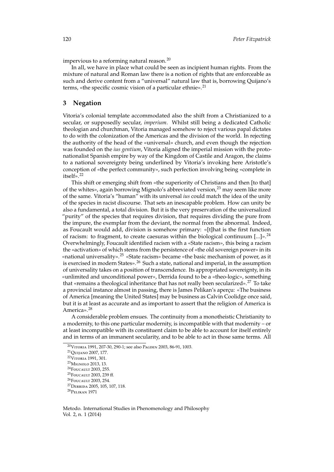impervious to a reforming natural reason. $^{20}$  $^{20}$  $^{20}$ 

In all, we have in place what could be seen as incipient human rights. From the mixture of natural and Roman law there is a notion of rights that are enforceable as such and derive content from a "universal" natural law that is, borrowing Quijano's terms, «the specific cosmic vision of a particular ethnie».<sup>[21](#page-4-1)</sup>

#### **3 Negation**

Vitoria's colonial template accommodated also the shift from a Christianized to a secular, or supposedly secular, *imperium*. Whilst still being a dedicated Catholic theologian and churchman, Vitoria managed somehow to reject various papal dictates to do with the colonization of the Americas and the division of the world. In rejecting the authority of the head of the «universal» church, and even though the rejection was founded on the *ius gentium*, Vitoria aligned the imperial mission with the protonationalist Spanish empire by way of the Kingdom of Castile and Aragon, the claims to a national sovereignty being underlined by Vitoria's invoking here Aristotle's conception of «the perfect community», such perfection involving being «complete in  $itself<sub>2</sub>$ <sup>[22](#page-4-2)</sup>

This shift or emerging shift from «the superiority of Christians and then [to that] of the whites», again borrowing Mignolo's abbreviated version, $^{23}$  $^{23}$  $^{23}$  may seem like more of the same. Vitoria's "human" with its universal *ius* could match the idea of the unity of the species in racist discourse. That sets an inescapable problem. How can unity be also a fundamental, a total division. But it is the very preservation of the universalized "purity" of the species that requires division, that requires dividing the pure from the impure, the exemplar from the deviant, the normal from the abnormal. Indeed, as Foucault would add, division is somehow primary: «[t]hat is the first function of racism: to fragment, to create caesuras within the biological continuum  $[\ldots]_{\bowtie}$ .<sup>[24](#page-4-4)</sup> Overwhelmingly, Foucault identified racism with a «State racism», this being a racism the «activation» of which stems from the persistence of «the old sovereign power» in its «national universality».<sup>[25](#page-4-5)</sup> «State racism» became «the basic mechanism of power, as it is exercised in modern States».[26](#page-4-6) Such a state, national and imperial, in the assumption of universality takes on a position of transcendence. Its appropriated sovereignty, in its «unlimited and unconditional power», Derrida found to be a «theo-logic», something that «remains a theological inheritance that has not really been secularized».[27](#page-4-7) To take a provincial instance almost in passing, there is James Pelikan's aperçu: «The business of America [meaning the United States] may be business as Calvin Coolidge once said, but it is at least as accurate and as important to assert that the religion of America is America».<sup>[28](#page-4-8)</sup>

A considerable problem ensues. The continuity from a monotheistic Christianity to a modernity, to this one particular modernity, is incompatible with that modernity – or at least incompatible with its constituent claim to be able to account for itself entirely and in terms of an immanent secularity, and to be able to act in those same terms. All

<span id="page-4-0"></span><sup>20</sup>V[itoria](#page-17-4) [1991,](#page-17-4) 207-30, 290-1; see also P[agden](#page-17-7) [2003,](#page-17-7) 86-91, 1003.

<span id="page-4-1"></span><sup>21</sup>Q[uijano](#page-17-3) [2007,](#page-17-3) 177.

<span id="page-4-2"></span><sup>22</sup>V[itoria](#page-17-4) [1991,](#page-17-4) 301.

<span id="page-4-3"></span><sup>23</sup>M[ignolo](#page-17-1) [2013,](#page-17-1) 13.

<span id="page-4-4"></span><sup>&</sup>lt;sup>24</sup>FOUCAULT [2003,](#page-16-0) 255.

<span id="page-4-5"></span><sup>25</sup>F[oucault](#page-16-0) [2003,](#page-16-0) 239 ff.

<span id="page-4-6"></span><sup>&</sup>lt;sup>26</sup>F[oucault](#page-16-0) [2003,](#page-16-0) 254.

<span id="page-4-7"></span><sup>27</sup>D[errida](#page-16-1) [2005,](#page-16-1) 105, 107, 118.

<span id="page-4-8"></span><sup>28</sup>P[elikan](#page-17-8) [1971](#page-17-8)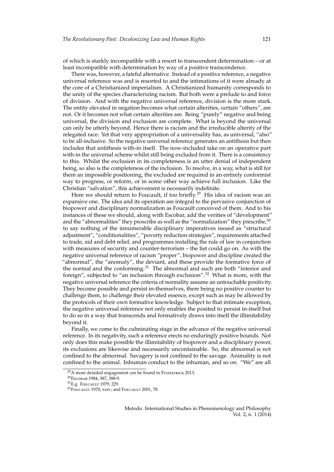of which is starkly incompatible with a resort to transcendent determination – or at least incompatible with determination by way of a positive transcendence.

There was, however, a fateful alternative. Instead of a positive reference, a negative universal reference was and is resorted to and the intimations of it were already at the core of a Christianized imperialism. A Christianized humanity corresponds to the unity of the species characterizing racism. But both were a prelude to and force of division. And with the negative universal reference, division is the more stark. The entity elevated in negation becomes what certain alterities, certain "others", are not. Or it becomes not what certain alterities are. Being "purely" negative and being universal, the division and exclusion are complete. What is beyond the universal can only be utterly beyond. Hence there is racism and the irreducible alterity of the relegated race. Yet that very appropriation of a universality has, as universal, "also" to be all-inclusive. So the negative universal reference generates an antithesis but then includes that antithesis with-in itself. The now-included take on an operative part with-in the universal scheme whilst still being excluded from it. There is a consistency to this. Whilst the exclusion in its completeness is an utter denial of independent being, so also is the completeness of the inclusion. To resolve, in a way, what is still for them an impossible positioning, the excluded are required in an entirely conformist way to progress, or reform, or in some other way achieve full inclusion. Like the Christian "salvation", this achievement is necessarily indefinite.

Here we should return to Foucault, if too briefly.<sup>[29](#page-5-0)</sup> His idea of racism was an expansive one. The idea and its operation are integral to the pervasive conjunction of biopower and disciplinary normalization as Foucault conceived of them. And to his instances of these we should, along with Escobar, add the verities of "development" and the "abnormalities" they proscribe as well as the "normalization" they prescribe,  $30$ to say nothing of the innumerable disciplinary imperatives issued as "structural adjustment", "conditionalities", "poverty reduction strategies", requirements attached to trade, aid and debt relief, and programmes installing the rule of law in conjunction with measures of security and counter-terrorism – the list could go on. As with the negative universal reference of racism "proper", biopower and discipline created the "abnormal", the "anomaly", the deviant, and these provide the formative force of the normal and the conforming.<sup>[31](#page-5-2)</sup> The abnormal and such are both "interior and foreign", subjected to "an inclusion through exclusion".[32](#page-5-3) What is more, with the negative universal reference the criteria of normality assume an untouchable positivity. They become possible and persist in-themselves, there being no positive counter to challenge them, to challenge their elevated essence, except such as may be allowed by the protocols of their own formative knowledge. Subject to that intimate exception, the negative universal reference not only enables the posited to persist in-itself but to do so in a way that transcends and formatively draws into itself the illimitability beyond it.

Finally, we come to the culminating stage in the advance of the negative universal reference. In its negativity, such a reference erects no enduringly positive bounds. Not only does this make possible the illimitability of biopower and a disciplinary power, its exclusions are likewise and necessarily uncontainable. So, the abnormal is not confined to the abnormal. Savagery is not confined to the savage. Animality is not confined to the animal. Inhuman conduct to the inhuman, and so on. "We" are all

<span id="page-5-0"></span> $^{29}$ A more detailed engagement can be found in FITZPATRICK [2013.](#page-16-2)

<span id="page-5-1"></span><sup>30</sup>E[scobar](#page-16-3) [1984,](#page-16-3) 387, 388-9.

<span id="page-5-2"></span><sup>31</sup>E.g. F[oucault](#page-16-4) [1979,](#page-16-4) 229.

<span id="page-5-3"></span><sup>&</sup>lt;sup>32</sup>F[oucault](#page-16-6) [1970,](#page-16-5) xxiv; and Foucault [2001,](#page-16-6) 78.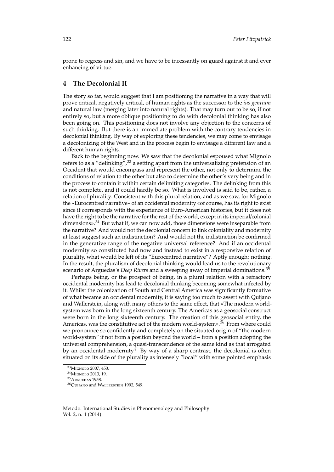prone to regress and sin, and we have to be incessantly on guard against it and ever enhancing of virtue.

#### **4 The Decolonial II**

The story so far, would suggest that I am positioning the narrative in a way that will prove critical, negatively critical, of human rights as the successor to the *ius gentium* and natural law (merging later into natural rights). That may turn out to be so, if not entirely so, but a more oblique positioning to do with decolonial thinking has also been going on. This positioning does not involve any objection to the concerns of such thinking. But there is an immediate problem with the contrary tendencies in decolonial thinking. By way of exploring these tendencies, we may come to envisage a decolonizing of the West and in the process begin to envisage a different law and a different human rights.

Back to the beginning now. We saw that the decolonial espoused what Mignolo refers to as a "delinking",  $33$  a setting apart from the universalizing pretension of an Occident that would encompass and represent the other, not only to determine the conditions of relation to the other but also to determine the other's very being and in the process to contain it within certain delimiting categories. The delinking from this is not complete, and it could hardly be so. What is involved is said to be, rather, a relation of plurality. Consistent with this plural relation, and as we saw, for Mignolo the «Eurocentred narrative» of an occidental modernity «of course, has its right to exist since it corresponds with the experience of Euro-American histories, but it does not have the right to be the narrative for the rest of the world, except in its imperial/colonial dimensions».[34](#page-6-1) But what if, we can now add, those dimensions were inseparable from the narrative? And would not the decolonial concern to link coloniality and modernity at least suggest such an indistinction? And would not the indistinction be confirmed in the generative range of the negative universal reference? And if an occidental modernity so constituted had now and instead to exist in a responsive relation of plurality, what would be left of its "Eurocentred narrative"? Aptly enough: nothing. In the result, the pluralism of decolonial thinking would lead us to the revolutionary scenario of Arguedas's *Deep Rivers* and a sweeping away of imperial dominations.[35](#page-6-2)

Perhaps being, or the prospect of being, in a plural relation with a refractory occidental modernity has lead to decolonial thinking becoming somewhat infected by it. Whilst the colonization of South and Central America was significantly formative of what became an occidental modernity, it is saying too much to assert with Quijano and Wallerstein, along with many others to the same effect, that «The modern worldsystem was born in the long sixteenth century. The Americas as a geosocial construct were born in the long sixteenth century. The creation of this geosocial entity, the Americas, was the constitutive act of the modern world-system».<sup>[36](#page-6-3)</sup> From where could we pronounce so confidently and completely on the situated origin of "the modern world-system" if not from a position beyond the world – from a position adopting the universal comprehension, a quasi-transcendence of the same kind as that arrogated by an occidental modernity? By way of a sharp contrast, the decolonial is often situated on its side of the plurality as intensely "local" with some pointed emphasis

<span id="page-6-0"></span><sup>33</sup>M[ignolo](#page-17-9) [2007,](#page-17-9) 453.

<span id="page-6-1"></span><sup>34</sup>M[ignolo](#page-17-1) [2013,](#page-17-1) 19.

<span id="page-6-2"></span><sup>35</sup>A[rguedas](#page-15-0) [1958.](#page-15-0)

<span id="page-6-3"></span><sup>36</sup>Q[uijano](#page-17-10) and W[allerstein](#page-17-10) [1992,](#page-17-10) 549.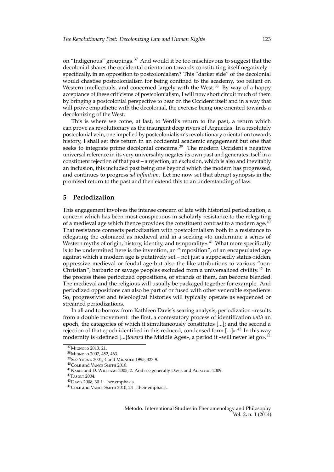on "Indigenous" groupings.[37](#page-7-0) And would it be too mischievous to suggest that the decolonial shares the occidental orientation towards constituting itself negatively – specifically, in an opposition to postcolonialism? This "darker side" of the decolonial would chastise postcolonialism for being confined to the academy, too reliant on Western intellectuals, and concerned largely with the West. $38$  By way of a happy acceptance of these criticisms of postcolonialism, I will now short circuit much of them by bringing a postcolonial perspective to bear on the Occident itself and in a way that will prove empathetic with the decolonial, the exercise being one oriented towards a decolonizing of the West.

This is where we come, at last, to Verdi's return to the past, a return which can prove as revolutionary as the insurgent deep rivers of Arguedas. In a resolutely postcolonial vein, one impelled by postcolonialism's revolutionary orientation towards history, I shall set this return in an occidental academic engagement but one that seeks to integrate prime decolonial concerns.<sup>[39](#page-7-2)</sup> The modern Occident's negative universal reference in its very universality negates its own past and generates itself in a constituent rejection of that past – a rejection, an exclusion, which is also and inevitably an inclusion, this included past being one beyond which the modern has progressed, and continues to progress *ad infinitum*. Let me now set that abrupt synopsis in the promised return to the past and then extend this to an understanding of law.

#### **5 Periodization**

This engagement involves the intense concern of late with historical periodization, a concern which has been most conspicuous in scholarly resistance to the relegating of a medieval age which thence provides the constituent contrast to a modern age. $^{40}$  $^{40}$  $^{40}$ That resistance connects periodization with postcolonialism both in a resistance to relegating the colonized as medieval and in a seeking «to undermine a series of Western myths of origin, history, identity, and temporality».<sup>[41](#page-7-4)</sup> What more specifically is to be undermined here is the invention, an "imposition", of an encapsulated age against which a modern age is putatively set – not just a supposedly status-ridden, oppressive medieval or feudal age but also the like attributions to various "non-Christian", barbaric or savage peoples excluded from a universalized civility.<sup>[42](#page-7-5)</sup> In the process these periodized oppositions, or strands of them, can become blended. The medieval and the religious will usually be packaged together for example. And periodized oppositions can also be part of or fused with other venerable expedients. So, progressivist and teleological histories will typically operate as sequenced or streamed periodizations.

In all and to borrow from Kathleen Davis's searing analysis, periodization «results from a double movement: the first, a contestatory process of identification *with* an epoch, the categories of which it simultaneously constitutes [...]; and the second a rejection of that epoch identified in this reduced, condensed form  $[...]_2$ .<sup>[43](#page-7-6)</sup> In this way modernity is «defined [...]*toward* the Middle Ages», a period it «will never let go».<sup>[44](#page-7-7)</sup>

<span id="page-7-0"></span><sup>37</sup>M[ignolo](#page-17-1) [2013,](#page-17-1) 21.

<span id="page-7-1"></span><sup>38</sup>M[ignolo](#page-17-9) [2007,](#page-17-9) 452, 463.

<span id="page-7-2"></span><sup>39</sup>See Y[oung](#page-17-11) [2001,](#page-17-11) 4 and M[ignolo](#page-17-12) [1995,](#page-17-12) 327-9.

<span id="page-7-3"></span><sup>40</sup>C[ole](#page-15-2) [and V](#page-15-2)ance Smith [2010.](#page-15-2)

<span id="page-7-4"></span> $^{41}\rm K$ авик [and D. W](#page-16-7)illiams [2005,](#page-16-7) 2. And see generally D[avis](#page-15-3) and A[ltschul](#page-15-3) [2009.](#page-15-3)

<span id="page-7-5"></span> $^{42}\rm{F}$ [asolt](#page-16-8) [2004.](#page-16-8)

<span id="page-7-6"></span><sup>43</sup>D[avis](#page-15-4) [2008,](#page-15-4) 30-1 – her emphasis.

<span id="page-7-7"></span><sup>44</sup>C[ole](#page-15-2) [and V](#page-15-2)ance Smith [2010,](#page-15-2) 24 – their emphasis.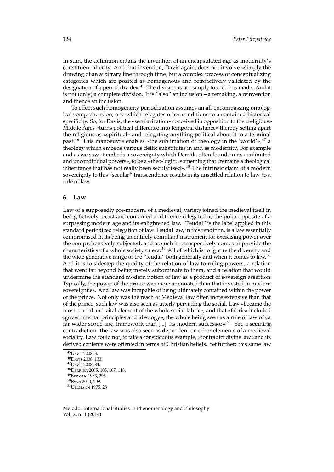In sum, the definition entails the invention of an encapsulated age as modernity's constituent alterity. And that invention, Davis again, does not involve «simply the drawing of an arbitrary line through time, but a complex process of conceptualizing categories which are posited as homogenous and retroactively validated by the designation of a period divide».[45](#page-8-0) The division is not simply found. It is made. And it is not (only) a complete division. It is "also" an inclusion – a remaking, a reinvention and thence an inclusion.

To effect such homogeneity periodization assumes an all-encompassing ontological comprehension, one which relegates other conditions to a contained historical specificity. So, for Davis, the «secularization» conceived in opposition to the «religious» Middle Ages «turns political difference into temporal distance» thereby setting apart the religious as «spiritual» and relegating anything political about it to a terminal past.<sup>[46](#page-8-1)</sup> This manoeuvre enables «the sublimation of theology in the 'world'»,<sup>[47](#page-8-2)</sup> a theology which embeds various deific substitutes in and as modernity. For example and as we saw, it embeds a sovereignty which Derrida often found, in its «unlimited and unconditional powers», to be a «theo-logic», something that «remains a theological inheritance that has not really been secularized».[48](#page-8-3) The intrinsic claim of a modern sovereignty to this "secular" transcendence results in its unsettled relation to law, to a rule of law.

#### **6 Law**

Law of a supposedly pre-modern, of a medieval, variety joined the medieval itself in being fictively recast and contained and thence relegated as the polar opposite of a surpassing modern age and its enlightened law. "Feudal" is the label applied in this standard periodized relegation of law. Feudal law, in this rendition, is a law essentially compromised in its being an entirely compliant instrument for exercising power over the comprehensively subjected, and as such it retrospectively comes to provide the characteristics of a whole society or era.<sup>[49](#page-8-4)</sup> All of which is to ignore the diversity and the wide generative range of the "feudal" both generally and when it comes to law.<sup>[50](#page-8-5)</sup> And it is to sidestep the quality of the relation of law to ruling powers, a relation that went far beyond being merely subordinate to them, and a relation that would undermine the standard modern notion of law as a product of sovereign assertion. Typically, the power of the prince was more attenuated than that invested in modern sovereignties. And law was incapable of being ultimately contained within the power of the prince. Not only was the reach of Medieval law often more extensive than that of the prince, such law was also seen as utterly pervading the social. Law «became the most crucial and vital element of the whole social fabric», and that «fabric» included «governmental principles and ideology», the whole being seen as a rule of law of «a far wider scope and framework than [...] its modern successor».<sup>[51](#page-8-6)</sup> Yet, a seeming contradiction: the law was also seen as dependent on other elements of a medieval sociality. Law could not, to take a conspicuous example, «contradict divine law» and its derived contents were oriented in terms of Christian beliefs. Yet further: this same law

<span id="page-8-0"></span><sup>45</sup>D[avis](#page-15-4) [2008,](#page-15-4) 3.

<span id="page-8-1"></span><sup>46</sup>D[avis](#page-15-4) [2008,](#page-15-4) 133.

<span id="page-8-2"></span><sup>47</sup>D[avis](#page-15-4) [2008,](#page-15-4) 84.

<span id="page-8-3"></span><sup>48</sup>D[errida](#page-16-1) [2005,](#page-16-1) 105, 107, 118.

<span id="page-8-4"></span><sup>49</sup>B[erman](#page-15-5) [1983,](#page-15-5) 295.

<span id="page-8-6"></span><span id="page-8-5"></span><sup>50</sup>R[yan](#page-17-13) [2010,](#page-17-13) 509. <sup>51</sup>U[llmann](#page-17-14) [1975,](#page-17-14) 28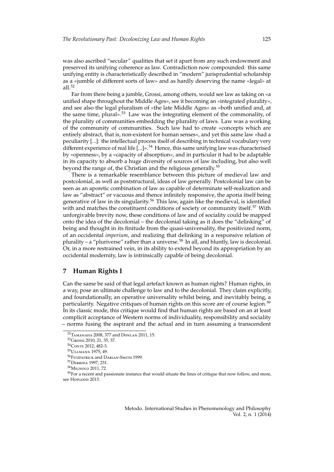was also ascribed "secular" qualities that set it apart from any such endowment and preserved its unifying coherence as law. Contradiction now compounded: this same unifying entity is characteristically described in "modern" jurisprudential scholarship as a «jumble of different sorts of law» and as hardly deserving the name «legal» at all.[52](#page-9-0)

Far from there being a jumble, Grossi, among others, would see law as taking on «a unified shape throughout the Middle Ages», see it becoming an «integrated plurality», and see also the legal pluralism of «the late Middle Ages» as «both unified and, at the same time, plural».<sup>[53](#page-9-1)</sup> Law was the integrating element of the commonality, of the plurality of communities embedding the plurality of laws. Law was a working of the community of communities. Such law had to create «concepts which are entirely abstract, that is, non-existent for human senses», and yet this same law «had a peculiarity [...]: the intellectual process itself of describing in technical vocabulary very different experience of real life  $[...]$ ».<sup>[54](#page-9-2)</sup> Hence, this same unifying law was characterised by «openness», by a «capacity of absorption», and in particular it had to be adaptable in its capacity to absorb a huge diversity of sources of law including, but also well beyond the range of, the Christian and the religious generally.<sup>[55](#page-9-3)</sup>

There is a remarkable resemblance between this picture of medieval law and postcolonial, as well as poststructural, ideas of law generally. Postcolonial law can be seen as an aporetic combination of law as capable of determinate self-realization and law as "abstract" or vacuous and thence infinitely responsive, the aporia itself being generative of law in its singularity.<sup>[56](#page-9-4)</sup> This law, again like the medieval, is identified with and matches the constituent conditions of society or community itself.<sup>[57](#page-9-5)</sup> With unforgivable brevity now, these conditions of law and of sociality could be mapped onto the idea of the decolonial – the decolonial taking as it does the "delinking" of being and thought in its finitude from the quasi-universality, the positivized norm, of an occidental *imperium*, and realizing that delinking in a responsive relation of plurality – a "pluriverse" rather than a universe.<sup>[58](#page-9-6)</sup> In all, and bluntly, law is decolonial. Or, in a more restrained vein, in its ability to extend beyond its appropriation by an occidental modernity, law is intrinsically capable of being decolonial.

#### **7 Human Rights I**

Can the same be said of that legal artefact known as human rights? Human rights, in a way, pose an ultimate challenge to law and to the decolonial. They claim explicitly, and foundationally, an operative universality whilst being, and inevitably being, a particularity. Negative critiques of human rights on this score are of course legion.<sup>[59](#page-9-7)</sup> In its classic mode, this critique would find that human rights are based on an at least complicit acceptance of Western norms of individuality, responsibility and sociality – norms fusing the aspirant and the actual and in turn assuming a transcendent

<span id="page-9-0"></span><sup>52</sup>T[amanaha](#page-17-15) [2008,](#page-17-15) 377 and D[onlan](#page-16-9) [2011,](#page-16-9) 15.

<span id="page-9-1"></span><sup>53</sup>G[rossi](#page-16-10) [2010,](#page-16-10) 21, 35, 37.

<span id="page-9-2"></span><sup>54</sup>C[onte](#page-15-6) [2012,](#page-15-6) 482-3.

<span id="page-9-3"></span><sup>55</sup>U[llmann](#page-17-14) [1975,](#page-17-14) 49.

<span id="page-9-4"></span><sup>56</sup>F[itzpatrick](#page-16-11) [and D](#page-16-11)arian-Smith [1999.](#page-16-11)

<span id="page-9-5"></span><sup>57</sup>D[errida](#page-16-12) [1997,](#page-16-12) 231.

<span id="page-9-7"></span><span id="page-9-6"></span><sup>58</sup>M[ignolo](#page-17-16) [2011,](#page-17-16) 72.

 $59$  For a recent and passionate instance that would situate the lines of critique that now follow, and more, see H[opgood](#page-16-13) [2013.](#page-16-13)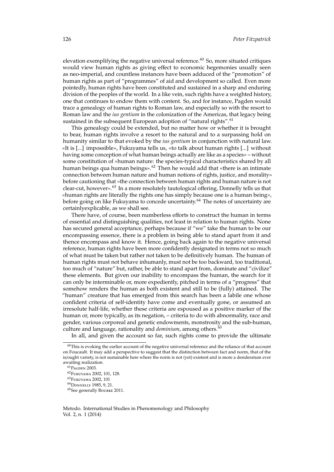elevation exemplifying the negative universal reference.<sup>[60](#page-10-0)</sup> So, more situated critiques would view human rights as giving effect to economic hegemonies usually seen as neo-imperial, and countless instances have been adduced of the "promotion" of human rights as part of "programmes" of aid and development so called. Even more pointedly, human rights have been constituted and sustained in a sharp and enduring division of the peoples of the world. In a like vein, such rights have a weighted history, one that continues to endow them with content. So, and for instance, Pagden would trace a genealogy of human rights to Roman law, and especially so with the resort to Roman law and the *ius gentium* in the colonization of the Americas, that legacy being sustained in the subsequent European adoption of "natural rights".<sup>[61](#page-10-1)</sup>

This genealogy could be extended, but no matter how or whether it is brought to bear, human rights involve a resort to the natural and to a surpassing hold on humanity similar to that evoked by the *ius gentium* in conjunction with natural law. «It is [...] impossible», Fukuyama tells us, «to talk about human rights [...] without having some conception of what human beings actually are like as a species» – without some constitution of «human nature: the species-typical characteristics shared by all human beings qua human beings».<sup>[62](#page-10-2)</sup> Then he would add that «there is an intimate connection between human nature and human notions of rights, justice, and morality» before cautioning that «the connection between human rights and human nature is not clear-cut, however».[63](#page-10-3) In a more resolutely tautological offering, Donnelly tells us that «human rights are literally the rights one has simply because one is a human being», before going on like Fukuyama to concede uncertainty.<sup>[64](#page-10-4)</sup> The notes of uncertainty are certainlyexplicable, as we shall see.

There have, of course, been numberless efforts to construct the human in terms of essential and distinguishing qualities, not least in relation to human rights. None has secured general acceptance, perhaps because if "we" take the human to be our encompassing essence, there is a problem in being able to stand apart from it and thence encompass and know it. Hence, going back again to the negative universal reference, human rights have been more confidently designated in terms not so much of what must be taken but rather not taken to be definitively human. The human of human rights must not behave inhumanly, must not be too backward, too traditional, too much of "nature" but, rather, be able to stand apart from, dominate and "civilize" these elements. But given our inability to encompass the human, the search for it can only be interminable or, more expediently, pitched in terms of a "progress" that somehow renders the human as both existent and still to be (fully) attained. The "human" creature that has emerged from this search has been a labile one whose confident criteria of self-identity have come and eventually gone, or assumed an irresolute half-life, whether these criteria are espoused as a positive marker of the human or, more typically, as its negation, – criteria to do with abnormality, race and gender, various corporeal and genetic endowments, monstrosity and the sub-human, culture and language, rationality and *dominium*, among others.[65](#page-10-5)

In all, and given the account so far, such rights come to provide the ultimate

<span id="page-10-0"></span> $60$ This is evoking the earlier account of the negative universal reference and the reliance of that account on Foucault. It may add a perspective to suggest that the distinction between fact and norm, that of the is/ought variety, is not sustainable here where the norm is not (yet) existent and is more a desideratum ever awaiting realization.

<span id="page-10-1"></span><sup>61</sup>P[agden](#page-17-7) [2003.](#page-17-7)

<span id="page-10-3"></span><span id="page-10-2"></span><sup>62</sup>F[ukuyama](#page-16-14) [2002,](#page-16-14) 101, 128. <sup>63</sup>F[ukuyama](#page-16-14) [2002,](#page-16-14) 101

<span id="page-10-4"></span><sup>64</sup>D[onnelly](#page-16-15) [1985,](#page-16-15) 9, 21.

<span id="page-10-5"></span><sup>65</sup>See generally B[ourke](#page-15-7) [2011.](#page-15-7)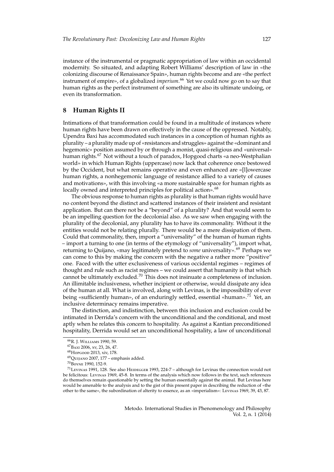instance of the instrumental or pragmatic appropriation of law within an occidental modernity. So situated, and adapting Robert Williams' description of law in «the colonizing discourse of Renaissance Spain», human rights become and are «the perfect instrument of empire», of a globalized *imperium*. [66](#page-11-0) Yet we could now go on to say that human rights as the perfect instrument of something are also its ultimate undoing, or even its transformation.

#### **8 Human Rights II**

Intimations of that transformation could be found in a multitude of instances where human rights have been drawn on effectively in the cause of the oppressed. Notably, Upendra Baxi has accommodated such instances in a conception of human rights as plurality – a plurality made up of «resistances and struggles» against the «dominant and hegemonic» position assumed by or through a monist, quasi-religious and «universal» human rights.<sup>[67](#page-11-1)</sup> Not without a touch of paradox, Hopgood charts «a neo-Westphalian world» in which Human Rights (uppercase) now lack that coherence once bestowed by the Occident, but what remains operative and even enhanced are «[l]owercase human rights, a nonhegemonic language of resistance allied to a variety of causes and motivations», with this involving «a more sustainable space for human rights as locally owned and interpreted principles for political action».<sup>[68](#page-11-2)</sup>

The obvious response to human rights as plurality is that human rights would have no content beyond the distinct and scattered instances of their insistent and resistant application. But can there not be a "beyond" of a plurality? And that would seem to be an impelling question for the decolonial also. As we saw when engaging with the plurality of the decolonial, any plurality has to have its commonality. Without it the entities would not be relating plurally. There would be a mere dissipation of them. Could that commonality, then, import a "universality" of the human of human rights – import a turning to one (in terms of the etymology of "universality"), import what, returning to Quijano, «may legitimately pretend to *some* universality».<sup>[69](#page-11-3)</sup> Perhaps we can come to this by making the concern with the negative a rather more "positive" one. Faced with the utter exclusiveness of various occidental regimes – regimes of thought and rule such as racist regimes – we could assert that humanity is that which cannot be ultimately excluded.<sup>[70](#page-11-4)</sup> This does not insinuate a completeness of inclusion. An illimitable inclusiveness, whether incipient or otherwise, would dissipate any idea of the human at all. What is involved, along with Levinas, is the impossibility of ever being «sufficiently human», of an enduringly settled, essential «human».<sup>[71](#page-11-5)</sup> Yet, an inclusive determinacy remains imperative.

The distinction, and indistinction, between this inclusion and exclusion could be intimated in Derrida's concern with the unconditional and the conditional, and most aptly when he relates this concern to hospitality. As against a Kantian preconditioned hospitality, Derrida would set an unconditional hospitality, a law of unconditional

<span id="page-11-0"></span><sup>66</sup>R. J. W[illiams](#page-17-17) [1990,](#page-17-17) 59.

<span id="page-11-1"></span><sup>67</sup>B[axi](#page-15-8) [2006,](#page-15-8) xv, 23, 26, 47.

<span id="page-11-2"></span><sup>68</sup>H[opgood](#page-16-13) [2013,](#page-16-13) xiv, 178.

<span id="page-11-3"></span><sup>69</sup>Q[uijano](#page-17-3) [2007,](#page-17-3) 177 – emphasis added.

<span id="page-11-5"></span><span id="page-11-4"></span><sup>70</sup>B[oyne](#page-15-9) [1990,](#page-15-9) 152-9.

 $71$ L[evinas](#page-17-18) [1991,](#page-17-18) 128. See also HEIDEGGER [1993,](#page-16-16) 224-7 – although for Levinas the connection would not be felicitous: L[evinas](#page-16-17) [1969,](#page-16-17) 45-8. In terms of the analysis which now follows in the text, such references do themselves remain questionable by setting the human essentially against the animal. But Levinas here would be amenable to the analysis and to the gist of this present paper in describing the reduction of «the other to the same», the subordination of alterity to essence, as an «imperialism»: L[evinas](#page-16-17) [1969,](#page-16-17) 39, 43, 87.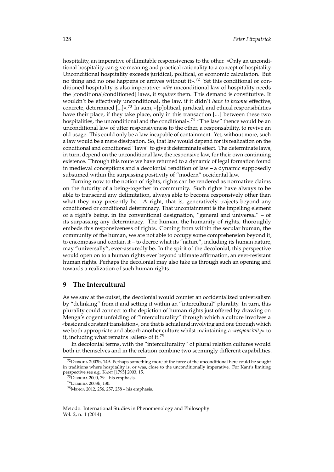hospitality, an imperative of illimitable responsiveness to the other. «Only an unconditional hospitality can give meaning and practical rationality to a concept of hospitality. Unconditional hospitality exceeds juridical, political, or economic calculation. But no thing and no one happens or arrives without it».[72](#page-12-0) Yet this conditional or conditioned hospitality is also imperative: «*the* unconditional law of hospitality needs the [conditional/conditioned] laws, it *requires* them. This demand is constitutive. It wouldn't be effectively unconditional, the law, if it didn't *have to become* effective, concrete, determined [...]».[73](#page-12-1) In sum, «[p]olitical, juridical, and ethical responsibilities have their place, if they take place, only in this transaction [...] between these two hospitalities, the unconditional and the conditional».<sup>[74](#page-12-2)</sup> "The law" thence would be an unconditional law of utter responsiveness to the other, a responsability, to revive an old usage. This could only be a law incapable of containment. Yet, without more, such a law would be a mere dissipation. So, that law would depend for its realization on the conditional and conditioned "laws" to give it determinate effect. The determinate laws, in turn, depend on the unconditional law, the responsive law, for their own continuing existence. Through this route we have returned to a dynamic of legal formation found in medieval conceptions and a decolonial rendition of law – a dynamic supposedly subsumed within the surpassing positivity of "modern" occidental law.

Turning now to the notion of rights, rights can be rendered as normative claims on the futurity of a being-together in community. Such rights have always to be able to transcend any delimitation, always able to become responsively other than what they may presently be. A right, that is, generatively trajects beyond any conditioned or conditional determinacy. That uncontainment is the impelling element of a right's being, in the conventional designation, "general and universal" – of its surpassing any determinacy. The human, the humanity of rights, thoroughly embeds this responsiveness of rights. Coming from within the secular human, the community of the human, we are not able to occupy some comprehension beyond it, to encompass and contain it – to decree what its "nature", including its human nature, may "universally", ever-assuredly be. In the spirit of the decolonial, this perspective would open on to a human rights ever beyond ultimate affirmation, an ever-resistant human rights. Perhaps the decolonial may also take us through such an opening and towards a realization of such human rights.

#### **9 The Intercultural**

As we saw at the outset, the decolonial would counter an occidentalized universalism by "delinking" from it and setting it within an "intercultural" plurality. In turn, this plurality could connect to the depiction of human rights just offered by drawing on Menga's cogent unfolding of "interculturality" through which a culture involves a «basic and constant translation», one that is actual and involving and one through which we both appropriate and absorb another culture whilst maintaining a «*responsivity*» to it, including what remains «alien» of it.[75](#page-12-3)

In decolonial terms, with the "interculturality" of plural relation cultures would both in themselves and in the relation combine two seemingly different capabilities.

<span id="page-12-0"></span><sup>72</sup>D[errida](#page-16-18) [2003b,](#page-16-18) 149. Perhaps something more of the force of the unconditional here could be sought in traditions where hospitality is, or was, close to the unconditionally imperative. For Kant's limiting perspective see e.g. K[ant](#page-16-19) [\[1795\] 2003,](#page-16-19) 15.

<span id="page-12-1"></span> $73$ DERRIDA [2000,](#page-16-20) 79 – his emphasis.

<span id="page-12-2"></span><sup>74</sup>D[errida](#page-16-18) [2003b,](#page-16-18) 130.

<span id="page-12-3"></span><sup>75</sup>M[enga](#page-17-19) [2012,](#page-17-19) 256, 257, 258 – his emphasis.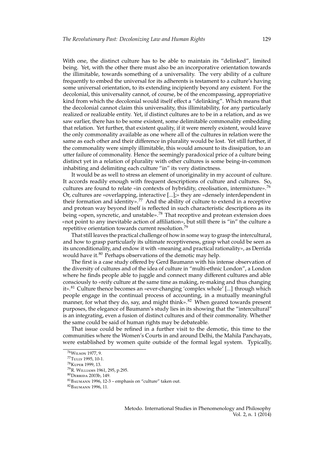With one, the distinct culture has to be able to maintain its "delinked", limited being. Yet, with the other there must also be an incorporative orientation towards the illimitable, towards something of a universality. The very ability of a culture frequently to embed the universal for its adherents is testament to a culture's having some universal orientation, to its extending incipiently beyond any existent. For the decolonial, this universality cannot, of course, be of the encompassing, appropriative kind from which the decolonial would itself effect a "delinking". Which means that the decolonial cannot claim this universality, this illimitability, for any particularly realized or realizable entity. Yet, if distinct cultures are to be in a relation, and as we saw earlier, there has to be some existent, some delimitable commonality embedding that relation. Yet further, that existent quality, if it were merely existent, would leave the only commonality available as one where all of the cultures in relation were the same as each other and their difference in plurality would be lost. Yet still further, if the commonality were simply illimitable, this would amount to its dissipation, to an utter failure of commonality. Hence the seemingly paradoxical price of a culture being distinct yet in a relation of plurality with other cultures is some being-in-common inhabiting and delimiting each culture "in" its very distinctness.

It would be as well to stress an element of unoriginality in my account of culture. It accords readily enough with frequent descriptions of culture and cultures. So, cultures are found to relate «in contexts of hybridity, creolisation, intermixture».[76](#page-13-0) Or, cultures are «overlapping, interactive [...];» they are «densely interdependent in their formation and identity».<sup>[77](#page-13-1)</sup> And the ability of culture to extend in a receptive and protean way beyond itself is reflected in such characteristic descriptions as its being «open, syncretic, and unstable».<sup>[78](#page-13-2)</sup> That receptive and protean extension does «not point to any inevitable action of affiliation», but still there is "in" the culture a repetitive orientation towards current resolution.<sup>[79](#page-13-3)</sup>

That still leaves the practical challenge of how in some way to grasp the intercultural, and how to grasp particularly its ultimate receptiveness, grasp what could be seen as its unconditionality, and endow it with «meaning and practical rationality», as Derrida would have it.<sup>[80](#page-13-4)</sup> Perhaps observations of the demotic may help.

The first is a case study offered by Gerd Baumann with his intense observation of the diversity of cultures and of the idea of culture in "multi-ethnic London", a London where he finds people able to juggle and connect many different cultures and able consciously to «reify culture at the same time as making, re-making and thus changing it».[81](#page-13-5) Culture thence becomes an «ever-changing 'complex whole' [...] through which people engage in the continual process of accounting, in a mutually meaningful manner, for what they do, say, and might think».<sup>[82](#page-13-6)</sup> When geared towards present purposes, the elegance of Baumann's study lies in its showing that the "intercultural" is an integrating, even a fusion of distinct cultures and of their commonality. Whether the same could be said of human rights may be debateable.

That issue could be refined in a further visit to the demotic, this time to the communities where the Women's Courts in and around Delhi, the Mahila Panchayats, were established by women quite outside of the formal legal system. Typically,

<span id="page-13-0"></span><sup>76</sup>W[ilson](#page-17-20) [1977,](#page-17-20) 9.

<span id="page-13-1"></span><sup>77</sup>T[ully](#page-17-21) [1995,](#page-17-21) 10-1.

<span id="page-13-2"></span><sup>78</sup>K[uper](#page-16-21) [1999,](#page-16-21) 13.

<span id="page-13-3"></span><sup>79</sup>R. W[illiams](#page-17-22) [1961,](#page-17-22) 295, p.295.

<span id="page-13-4"></span><sup>80</sup>D[errida](#page-16-18) [2003b,](#page-16-18) 149.

<span id="page-13-5"></span> ${}^{81}$ B[aumann](#page-15-10) [1996,](#page-15-10) 12-3 – emphasis on "culture" taken out.

<span id="page-13-6"></span><sup>82</sup>B[aumann](#page-15-10) [1996,](#page-15-10) 11.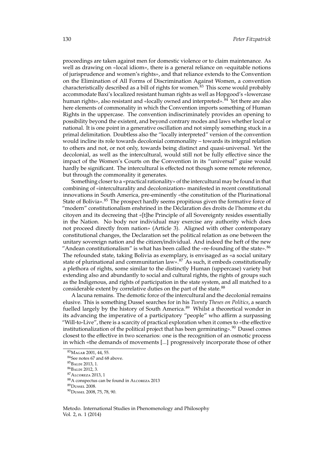proceedings are taken against men for domestic violence or to claim maintenance. As well as drawing on «local idiom», there is a general reliance on «equitable notions of jurisprudence and women's rights», and that reliance extends to the Convention on the Elimination of All Forms of Discrimination Against Women, a convention characteristically described as a bill of rights for women.<sup>[83](#page-14-0)</sup> This scene would probably accommodate Baxi's localized resistant human rights as well as Hopgood's «lowercase human rights», also resistant and «locally owned and interpreted».  $\frac{84}{9}$  $\frac{84}{9}$  $\frac{84}{9}$  Yet there are also here elements of commonality in which the Convention imports something of Human Rights in the uppercase. The convention indiscriminately provides an opening to possibility beyond the existent, and beyond contrary modes and laws whether local or national. It is one point in a generative oscillation and not simply something stuck in a primal delimitation. Doubtless also the "locally interpreted" version of the convention would incline its role towards decolonial commonality – towards its integral relation to others and not, or not only, towards being distinct and quasi-universal. Yet the decolonial, as well as the intercultural, would still not be fully effective since the impact of the Women's Courts on the Convention in its "universal" guise would hardly be significant. The intercultural is effected not though some remote reference, but through the commonality it generates.

Something closer to a «practical rationality» of the intercultural may be found in that combining of «interculturality and decolonization» manifested in recent constitutional innovations in South America, pre-eminently «the constitution of the Plurinational State of Bolivia».<sup>[85](#page-14-2)</sup> The prospect hardly seems propitious given the formative force of "modern" constitutionalism enshrined in the Déclaration des droits de l'homme et du citoyen and its decreeing that «[t]he Principle of all Sovereignty resides essentially in the Nation. No body nor individual may exercise any authority which does not proceed directly from nation» (Article 3). Aligned with other contemporary constitutional changes, the Declaration set the political relation as one between the unitary sovereign nation and the citizen/individual. And indeed the heft of the new "Andean constitutionalism" is what has been called the «re-founding of the state».  $86$ The refounded state, taking Bolivia as exemplary, is envisaged as «a social unitary state of plurinational and communitarian law». $87$  As such, it embeds constitutionally a plethora of rights, some similar to the distinctly Human (uppercase) variety but extending also and abundantly to social and cultural rights, the rights of groups such as the Indigenous, and rights of participation in the state system, and all matched to a considerable extent by correlative duties on the part of the state.<sup>[88](#page-14-5)</sup>

A lacuna remains. The demotic force of the intercultural and the decolonial remains elusive. This is something Dussel searches for in his *Twenty Theses on Politics*, a search fuelled largely by the history of South America.<sup>[89](#page-14-6)</sup> Whilst a theoretical wonder in its advancing the imperative of a participatory "people" who affirm a surpassing "Will-to-Live", there is a scarcity of practical exploration when it comes to «the effective institutionalization of the political project that has been germinating».<sup>[90](#page-14-7)</sup> Dussel comes closest to the effective in two scenarios: one is the recognition of an osmotic process in which «the demands of movements [...] progressively incorporate those of other

<span id="page-14-6"></span><sup>89</sup>D[ussel](#page-16-22) [2008.](#page-16-22)

<span id="page-14-0"></span><sup>83</sup>M[agar](#page-17-23) [2001,](#page-17-23) 44, 55.

<span id="page-14-1"></span><sup>84</sup>See notes 67 and 68 above.

<span id="page-14-2"></span><sup>85</sup>B[aldi](#page-15-11) [2013,](#page-15-11) 1.

<span id="page-14-4"></span><span id="page-14-3"></span><sup>86</sup>B[aldi](#page-15-12) [2012,](#page-15-12) 3. <sup>87</sup>A[lcoreza](#page-15-13) [2013,](#page-15-13) 1

<span id="page-14-5"></span><sup>88</sup>A conspectus can be found in A[lcoreza](#page-15-13) [2013](#page-15-13)

<span id="page-14-7"></span><sup>90</sup>D[ussel](#page-16-22) [2008,](#page-16-22) 75, 78, 90.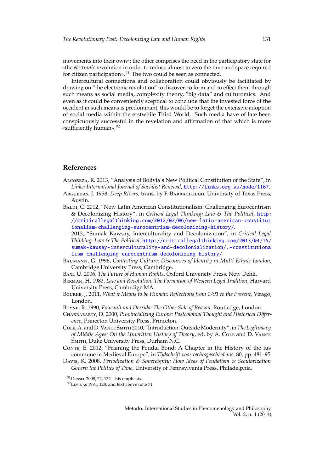movements into their own»; the other comprises the need in the participatory state for «the *electronic* revolution in order to reduce almost to zero the time and space required for citizen participation».<sup>[91](#page-15-14)</sup> The two could be seen as connected.

Intercultural connections and collaboration could obviously be facilitated by drawing on "the electronic revolution" to discover, to form and to effect them through such means as social media, complexity theory, "big data" and culturomics. And even as it could be conveniently sceptical to conclude that the invested force of the occident in such means is predominant, this would be to forget the extensive adoption of social media within the erstwhile Third World. Such media have of late been conspicuously successful in the revelation and affirmation of that which is more «sufficiently human».[92](#page-15-15)

#### **References**

- <span id="page-15-13"></span>Alcoreza, R. 2013, "Analysis of Bolivia's New Political Constitution of the State", in *Links: International Journal of Socialist Renewal*, <http://links.org.au/node/1167>.
- <span id="page-15-0"></span>Arguedas, J. 1958, *Deep Rivers*, trans. by F. Barraclough, University of Texas Press, Austin.
- <span id="page-15-12"></span>BALDI, C. 2012, "New Latin American Constitutionalism: Challenging Eurocentrism & Decolonizing History", in *Critical Legal Thinking: Law & The Political*, [http :](http://criticallegalthinking.com/2012/02/06/new-latin-american-constitutionalism-challenging-eurocentrism-decolonizing-history/) [//criticallegalthinking.com/2012/02/06/new-latin-american-constitut](http://criticallegalthinking.com/2012/02/06/new-latin-american-constitutionalism-challenging-eurocentrism-decolonizing-history/) [ionalism-challenging-eurocentrism-decolonizing-history/](http://criticallegalthinking.com/2012/02/06/new-latin-american-constitutionalism-challenging-eurocentrism-decolonizing-history/).
- <span id="page-15-11"></span>— 2013, "Sumak Kawsay, Interculturality and Decolonization", in *Critical Legal Thinking: Law & The Political*, [http://criticallegalthinking.com/2013/04/15/](http://criticallegalthinking.com/2013/04/15/sumak-kawsay-interculturality-and-decolonialization/.-constitutionalism-challenging-eurocentrism-decolonizing-history/) [sumak-kawsay-interculturality-and-decolonialization/.-constitutiona](http://criticallegalthinking.com/2013/04/15/sumak-kawsay-interculturality-and-decolonialization/.-constitutionalism-challenging-eurocentrism-decolonizing-history/) [lism-challenging-eurocentrism-decolonizing-history/](http://criticallegalthinking.com/2013/04/15/sumak-kawsay-interculturality-and-decolonialization/.-constitutionalism-challenging-eurocentrism-decolonizing-history/).
- <span id="page-15-10"></span>Baumann, G. 1996, *Contesting Culture: Discourses of Identity in Multi-Ethnic London*, Cambridge University Press, Cambridge.
- <span id="page-15-8"></span>Baxi, U. 2006, *The Future of Human Rights*, Oxford University Press, New Dehli.
- <span id="page-15-5"></span>Berman, H. 1983, *Law and Revolution: The Formation of Western Legal Tradition*, Harvard University Press, Cambrdige MA.
- <span id="page-15-7"></span>Bourke, J. 2011, *What it Means to be Human: Reflections from 1791 to the Present*, Virago, London.
- <span id="page-15-9"></span>Boyne, R. 1990, *Foucault and Derrida: The Other Side of Reason*, Routledge, London.
- <span id="page-15-1"></span>Chakrabarty, D. 2000, *Provincializing Europe: Postcolonial Thought and Historical Di*ff*erence*, Princeton University Press, Princeton.
- <span id="page-15-2"></span>Cole, A. and D. Vance Smith 2010, "Introduction: Outside Modernity", in *The Legitimacy of Middle Ages: On the Unwritten History of Theory, ed. by A. Cole and D. VANCE* Smith, Duke University Press, Durham N.C.
- <span id="page-15-6"></span>Conte, E. 2012, "Framing the Feudal Bond: A Chapter in the History of the ius commune in Medieval Europe", in *Tijdschrift voor rechtsgeschiedenis*, 80, pp. 481–95.
- <span id="page-15-4"></span>Davis, K. 2008, *Periodization & Sovereignty: How Ideas of Feudalism & Secularization Govern the Politics of Time*, University of Pennsylvania Press, Philadelphia.

<span id="page-15-14"></span><span id="page-15-3"></span><sup>91</sup>D[ussel](#page-16-22) [2008,](#page-16-22) 72, 132 – his emphasis.

<span id="page-15-15"></span> $92$ L[evinas](#page-17-18) [1991,](#page-17-18) 128, and text above note 71.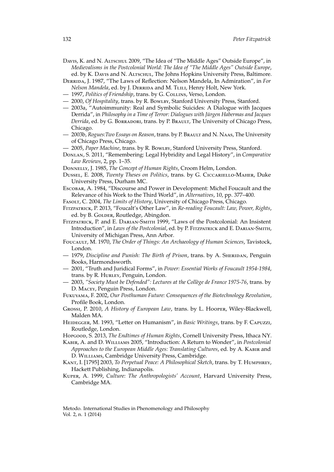Davis, K. and N. Altschul 2009, "The Idea of "The Middle Ages" Outside Europe", in *Medievalisms in the Postcolonial World: The Idea of "The Middle Ages" Outside Europe*, ed. by K. Davis and N. Altschul, The Johns Hopkins University Press, Baltimore.

- Derrida, J. 1987, "The Laws of Reflection: Nelson Mandela, In Admiration", in *For Nelson Mandela*, ed. by J. DERRIDA and M. TLILI, Henry Holt, New York.
- <span id="page-16-12"></span>— 1997, *Politics of Friendship*, trans. by G. Collins, Verso, London.
- <span id="page-16-20"></span>— 2000, *Of Hospitality*, trans. by R. Bowlby, Stanford University Press, Stanford.
- 2003a, "Autoimmunity: Real and Symbolic Suicides: A Dialogue with Jacques Derrida", in *Philosophy in a Time of Terror: Dialogues with Jürgen Habermas and Jacques Derrida*, ed. by G. Borradori, trans. by P. Brault, The University of Chicago Press, Chicago.
- <span id="page-16-18"></span>— 2003b, *Rogues:Two Essays on Reason*, trans. by P. Brault and N. Naas, The University of Chicago Press, Chicago.
- <span id="page-16-1"></span>— 2005, *Paper Machine*, trans. by R. Bowlby, Stanford University Press, Stanford.
- <span id="page-16-9"></span>Donlan, S. 2011, "Remembering: Legal Hybridity and Legal History", in *Comparative Law Reviews*, 2, pp. 1–35.
- <span id="page-16-15"></span>Donnelly, J. 1985, *The Concept of Human Rights*, Croom Helm, London.
- <span id="page-16-22"></span>Dussel, E. 2008, *Twenty Theses on Politics*, trans. by G. Ciccariello-Maher, Duke University Press, Durham MC.
- <span id="page-16-3"></span>Escobar, A. 1984, "Discourse and Power in Development: Michel Foucault and the Relevance of his Work to the Third World", in *Alternatives*, 10, pp. 377–400.
- <span id="page-16-8"></span>Fasolt, C. 2004, *The Limits of History*, University of Chicago Press, Chicago.

<span id="page-16-2"></span>Fitzpatrick, P. 2013, "Foucalt's Other Law", in *Re-reading Foucault: Law, Power, Rights*, ed. by B. GOLDER, Routledge, Abingdon.

- <span id="page-16-11"></span>Fitzpatrick, P. and E. Darian-Smith 1999, "Laws of the Postcolonial: An Insistent Introduction", in *Laws of the Postcolonial*, ed. by P. Fitzpatrick and E. Darian-Smith, University of Michigan Press, Ann Arbor.
- <span id="page-16-5"></span>Foucault, M. 1970, *The Order of Things: An Archaeology of Human Sciences*, Tavistock, London.
- <span id="page-16-4"></span>— 1979, *Discipline and Punish: The Birth of Prison*, trans. by A. Sheridan, Penguin Books, Harmondsworth.
- <span id="page-16-6"></span>— 2001, "Truth and Juridical Forms", in *Power: Essential Works of Foucault 1954-1984*, trans. by R. Hurley, Penguin, London.
- <span id="page-16-0"></span>— 2003, *"Society Must be Defended": Lectures at the Collège de France 1975-76*, trans. by D. Macey, Penguin Press, London.
- <span id="page-16-14"></span>Fukuyama, F. 2002, *Our Posthuman Future: Consequences of the Biotechnology Revolution*, Profile Book, London.
- <span id="page-16-10"></span>Grossi, P. 2010, *A History of European Law*, trans. by L. Hooper, Wiley-Blackwell, Malden MA.
- <span id="page-16-16"></span>Heidegger, M. 1993, "Letter on Humanism", in *Basic Writings*, trans. by F. Capuzzi, Routledge, London.
- <span id="page-16-13"></span>Hopgood, S. 2013, *The Endtimes of Human Rights*, Cornell University Press, Ithaca NY.
- <span id="page-16-7"></span>Kabir, A. and D. Williams 2005, "Introduction: A Return to Wonder", in *Postcolonial Approaches to the European Middle Ages: Translating Cultures*, ed. by A. Kabir and D. Williams, Cambridge University Press, Cambridge.
- <span id="page-16-19"></span>Kant, I. [1795] 2003, *To Perpetual Peace: A Philosophical Sketch*, trans. by T. Humphrey, Hackett Publishing, Indianapolis.
- <span id="page-16-21"></span><span id="page-16-17"></span>Kuper, A. 1999, *Culture: The Anthropologists' Account*, Harvard University Press, Cambridge MA.